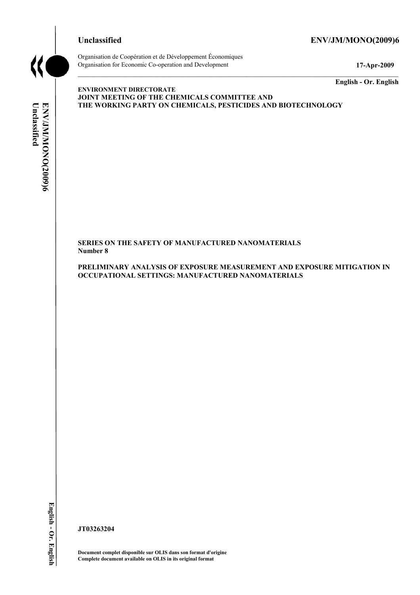# **Unclassified ENV/JM/MONO(2009)6**



Organisation de Coopération et de Développement Économiques Organisation for Economic Co-operation and Development **17-Apr-2009** 

**English - Or. English** 

# Unclassified **Unclassified**  ENV/JM/MONOC2009)6 **ENV/JM/MONO(2009)6 English - Or. English**

**ENVIRONMENT DIRECTORATE JOINT MEETING OF THE CHEMICALS COMMITTEE AND THE WORKING PARTY ON CHEMICALS, PESTICIDES AND BIOTECHNOLOGY** 

**SERIES ON THE SAFETY OF MANUFACTURED NANOMATERIALS Number 8** 

**PRELIMINARY ANALYSIS OF EXPOSURE MEASUREMENT AND EXPOSURE MITIGATION IN OCCUPATIONAL SETTINGS: MANUFACTURED NANOMATERIALS** 

**JT03263204** 

**Document complet disponible sur OLIS dans son format d'origine Complete document available on OLIS in its original format**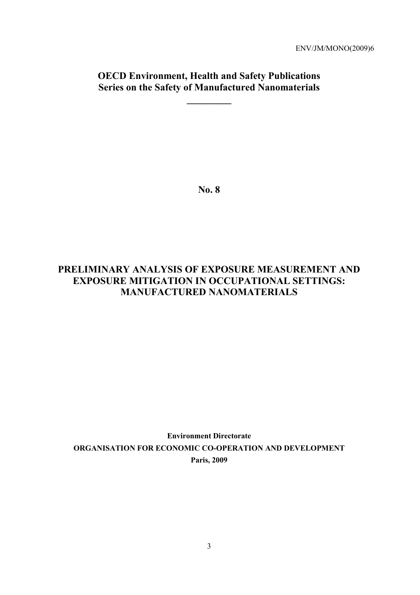**OECD Environment, Health and Safety Publications Series on the Safety of Manufactured Nanomaterials** 

**No. 8** 

# **PRELIMINARY ANALYSIS OF EXPOSURE MEASUREMENT AND EXPOSURE MITIGATION IN OCCUPATIONAL SETTINGS: MANUFACTURED NANOMATERIALS**

**Environment Directorate ORGANISATION FOR ECONOMIC CO-OPERATION AND DEVELOPMENT Paris, 2009**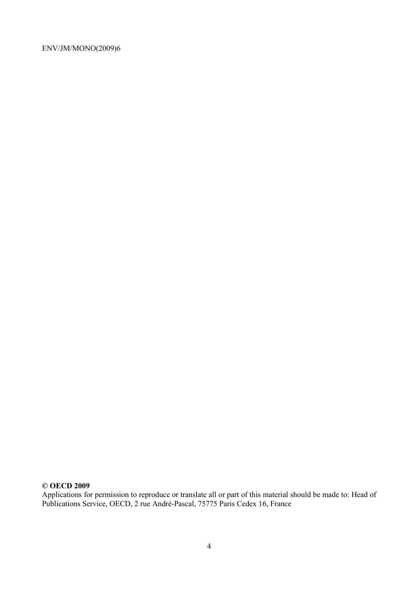# **© OECD 2009**

Applications for permission to reproduce or translate all or part of this material should be made to: Head of Publications Service, OECD, 2 rue André-Pascal, 75775 Paris Cedex 16, France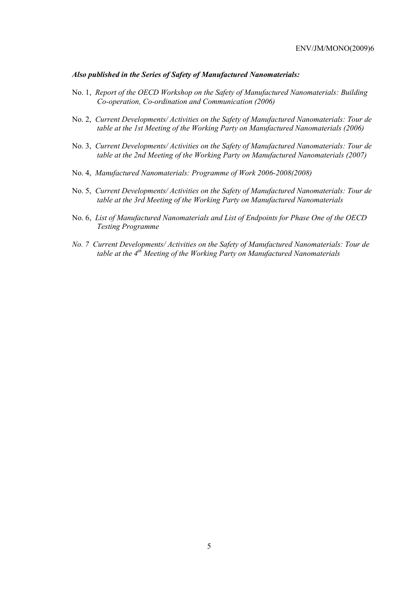#### *Also published in the Series of Safety of Manufactured Nanomaterials:*

- No. 1, *Report of the OECD Workshop on the Safety of Manufactured Nanomaterials: Building Co-operation, Co-ordination and Communication (2006)*
- No. 2, *Current Developments/ Activities on the Safety of Manufactured Nanomaterials: Tour de table at the 1st Meeting of the Working Party on Manufactured Nanomaterials (2006)*
- No. 3, *Current Developments/ Activities on the Safety of Manufactured Nanomaterials: Tour de table at the 2nd Meeting of the Working Party on Manufactured Nanomaterials (2007)*
- No. 4, *Manufactured Nanomaterials: Programme of Work 2006-2008(2008)*
- No. 5, *Current Developments/ Activities on the Safety of Manufactured Nanomaterials: Tour de table at the 3rd Meeting of the Working Party on Manufactured Nanomaterials*
- No. 6, *List of Manufactured Nanomaterials and List of Endpoints for Phase One of the OECD Testing Programme*
- *No. 7 Current Developments/ Activities on the Safety of Manufactured Nanomaterials: Tour de table at the 4th Meeting of the Working Party on Manufactured Nanomaterials*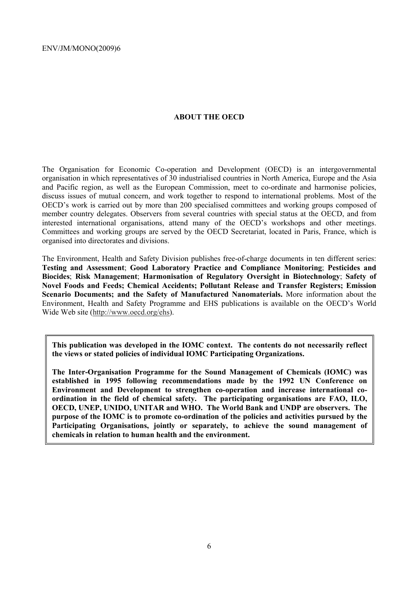# **ABOUT THE OECD**

The Organisation for Economic Co-operation and Development (OECD) is an intergovernmental organisation in which representatives of 30 industrialised countries in North America, Europe and the Asia and Pacific region, as well as the European Commission, meet to co-ordinate and harmonise policies, discuss issues of mutual concern, and work together to respond to international problems. Most of the OECD's work is carried out by more than 200 specialised committees and working groups composed of member country delegates. Observers from several countries with special status at the OECD, and from interested international organisations, attend many of the OECD's workshops and other meetings. Committees and working groups are served by the OECD Secretariat, located in Paris, France, which is organised into directorates and divisions.

The Environment, Health and Safety Division publishes free-of-charge documents in ten different series: **Testing and Assessment**; **Good Laboratory Practice and Compliance Monitoring**; **Pesticides and Biocides**; **Risk Management**; **Harmonisation of Regulatory Oversight in Biotechnology**; **Safety of Novel Foods and Feeds; Chemical Accidents; Pollutant Release and Transfer Registers; Emission Scenario Documents; and the Safety of Manufactured Nanomaterials.** More information about the Environment, Health and Safety Programme and EHS publications is available on the OECD's World Wide Web site (http://www.oecd.org/ehs).

**This publication was developed in the IOMC context. The contents do not necessarily reflect the views or stated policies of individual IOMC Participating Organizations.** 

**The Inter-Organisation Programme for the Sound Management of Chemicals (IOMC) was established in 1995 following recommendations made by the 1992 UN Conference on Environment and Development to strengthen co-operation and increase international coordination in the field of chemical safety. The participating organisations are FAO, ILO, OECD, UNEP, UNIDO, UNITAR and WHO. The World Bank and UNDP are observers. The purpose of the IOMC is to promote co-ordination of the policies and activities pursued by the Participating Organisations, jointly or separately, to achieve the sound management of chemicals in relation to human health and the environment.**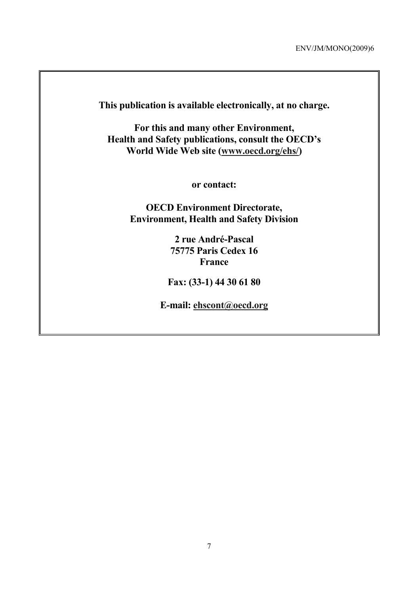**This publication is available electronically, at no charge.** 

**For this and many other Environment, Health and Safety publications, consult the OECD's World Wide Web site (www.oecd.org/ehs/)** 

**or contact:** 

**OECD Environment Directorate, Environment, Health and Safety Division**

> **2 rue André-Pascal 75775 Paris Cedex 16 France**

**Fax: (33-1) 44 30 61 80** 

**E-mail: ehscont@oecd.org**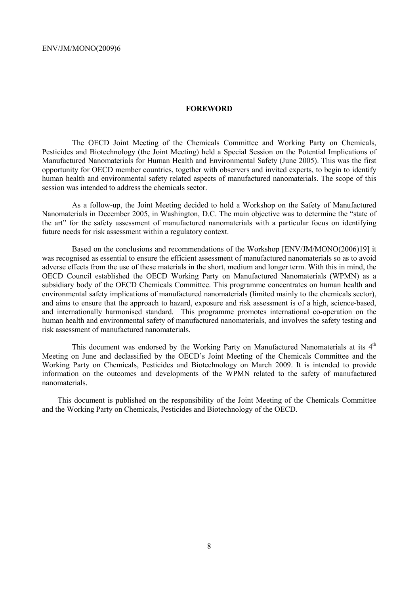#### **FOREWORD**

 The OECD Joint Meeting of the Chemicals Committee and Working Party on Chemicals, Pesticides and Biotechnology (the Joint Meeting) held a Special Session on the Potential Implications of Manufactured Nanomaterials for Human Health and Environmental Safety (June 2005). This was the first opportunity for OECD member countries, together with observers and invited experts, to begin to identify human health and environmental safety related aspects of manufactured nanomaterials. The scope of this session was intended to address the chemicals sector.

 As a follow-up, the Joint Meeting decided to hold a Workshop on the Safety of Manufactured Nanomaterials in December 2005, in Washington, D.C. The main objective was to determine the "state of the art" for the safety assessment of manufactured nanomaterials with a particular focus on identifying future needs for risk assessment within a regulatory context.

 Based on the conclusions and recommendations of the Workshop [ENV/JM/MONO(2006)19] it was recognised as essential to ensure the efficient assessment of manufactured nanomaterials so as to avoid adverse effects from the use of these materials in the short, medium and longer term. With this in mind, the OECD Council established the OECD Working Party on Manufactured Nanomaterials (WPMN) as a subsidiary body of the OECD Chemicals Committee. This programme concentrates on human health and environmental safety implications of manufactured nanomaterials (limited mainly to the chemicals sector), and aims to ensure that the approach to hazard, exposure and risk assessment is of a high, science-based, and internationally harmonised standard. This programme promotes international co-operation on the human health and environmental safety of manufactured nanomaterials, and involves the safety testing and risk assessment of manufactured nanomaterials.

This document was endorsed by the Working Party on Manufactured Nanomaterials at its 4<sup>th</sup> Meeting on June and declassified by the OECD's Joint Meeting of the Chemicals Committee and the Working Party on Chemicals, Pesticides and Biotechnology on March 2009. It is intended to provide information on the outcomes and developments of the WPMN related to the safety of manufactured nanomaterials.

This document is published on the responsibility of the Joint Meeting of the Chemicals Committee and the Working Party on Chemicals, Pesticides and Biotechnology of the OECD.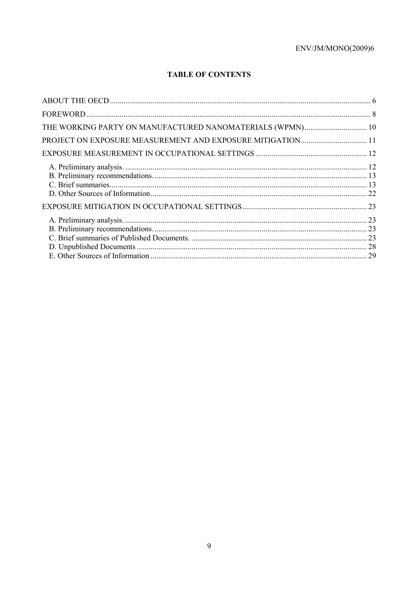# **TABLE OF CONTENTS**

| THE WORKING PARTY ON MANUFACTURED NANOMATERIALS (WPMN) 10 |  |
|-----------------------------------------------------------|--|
|                                                           |  |
|                                                           |  |
|                                                           |  |
|                                                           |  |
|                                                           |  |
|                                                           |  |
|                                                           |  |
|                                                           |  |
|                                                           |  |
|                                                           |  |
|                                                           |  |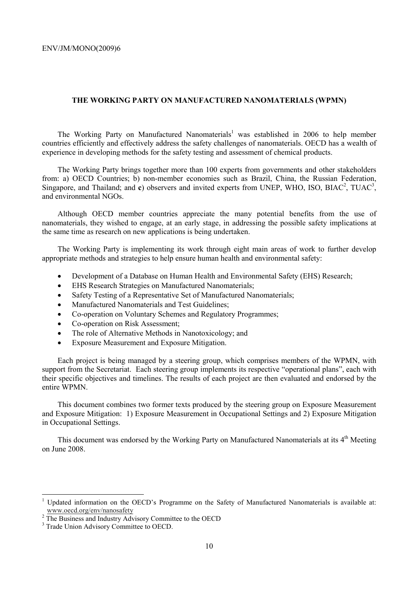#### **THE WORKING PARTY ON MANUFACTURED NANOMATERIALS (WPMN)**

The Working Party on Manufactured Nanomaterials<sup>1</sup> was established in 2006 to help member countries efficiently and effectively address the safety challenges of nanomaterials. OECD has a wealth of experience in developing methods for the safety testing and assessment of chemical products.

The Working Party brings together more than 100 experts from governments and other stakeholders from: a) OECD Countries; b) non-member economies such as Brazil, China, the Russian Federation, Singapore, and Thailand; and  $\bf{c}$ ) observers and invited experts from UNEP, WHO, ISO, BIAC<sup>2</sup>, TUAC<sup>3</sup>, and environmental NGOs.

Although OECD member countries appreciate the many potential benefits from the use of nanomaterials, they wished to engage, at an early stage, in addressing the possible safety implications at the same time as research on new applications is being undertaken.

The Working Party is implementing its work through eight main areas of work to further develop appropriate methods and strategies to help ensure human health and environmental safety:

- Development of a Database on Human Health and Environmental Safety (EHS) Research;
- EHS Research Strategies on Manufactured Nanomaterials;
- Safety Testing of a Representative Set of Manufactured Nanomaterials;
- Manufactured Nanomaterials and Test Guidelines;
- Co-operation on Voluntary Schemes and Regulatory Programmes;
- Co-operation on Risk Assessment;
- The role of Alternative Methods in Nanotoxicology; and
- Exposure Measurement and Exposure Mitigation.

Each project is being managed by a steering group, which comprises members of the WPMN, with support from the Secretariat. Each steering group implements its respective "operational plans", each with their specific objectives and timelines. The results of each project are then evaluated and endorsed by the entire WPMN.

This document combines two former texts produced by the steering group on Exposure Measurement and Exposure Mitigation: 1) Exposure Measurement in Occupational Settings and 2) Exposure Mitigation in Occupational Settings.

This document was endorsed by the Working Party on Manufactured Nanomaterials at its  $4<sup>th</sup>$  Meeting on June 2008.

<sup>1</sup> Updated information on the OECD's Programme on the Safety of Manufactured Nanomaterials is available at: <sup>2</sup> The Business and Industry Advisory Committee to the OECD<sup>2</sup>

<sup>&</sup>lt;sup>3</sup> Trade Union Advisory Committee to OECD.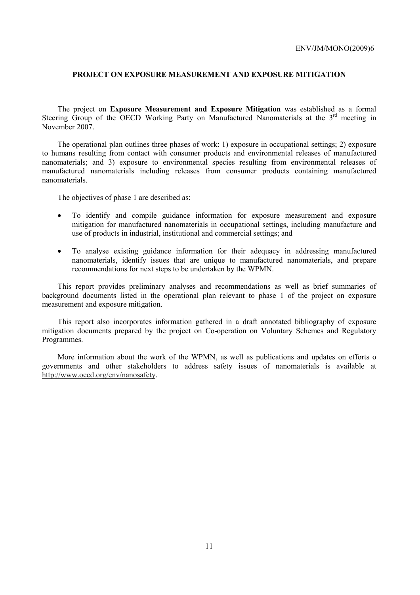# **PROJECT ON EXPOSURE MEASUREMENT AND EXPOSURE MITIGATION**

The project on **Exposure Measurement and Exposure Mitigation** was established as a formal Steering Group of the OECD Working Party on Manufactured Nanomaterials at the  $3<sup>rd</sup>$  meeting in November 2007.

The operational plan outlines three phases of work: 1) exposure in occupational settings; 2) exposure to humans resulting from contact with consumer products and environmental releases of manufactured nanomaterials; and 3) exposure to environmental species resulting from environmental releases of manufactured nanomaterials including releases from consumer products containing manufactured nanomaterials.

The objectives of phase 1 are described as:

- To identify and compile guidance information for exposure measurement and exposure mitigation for manufactured nanomaterials in occupational settings, including manufacture and use of products in industrial, institutional and commercial settings; and
- To analyse existing guidance information for their adequacy in addressing manufactured nanomaterials, identify issues that are unique to manufactured nanomaterials, and prepare recommendations for next steps to be undertaken by the WPMN.

This report provides preliminary analyses and recommendations as well as brief summaries of background documents listed in the operational plan relevant to phase 1 of the project on exposure measurement and exposure mitigation.

This report also incorporates information gathered in a draft annotated bibliography of exposure mitigation documents prepared by the project on Co-operation on Voluntary Schemes and Regulatory Programmes.

More information about the work of the WPMN, as well as publications and updates on efforts o governments and other stakeholders to address safety issues of nanomaterials is available at http://www.oecd.org/env/nanosafety.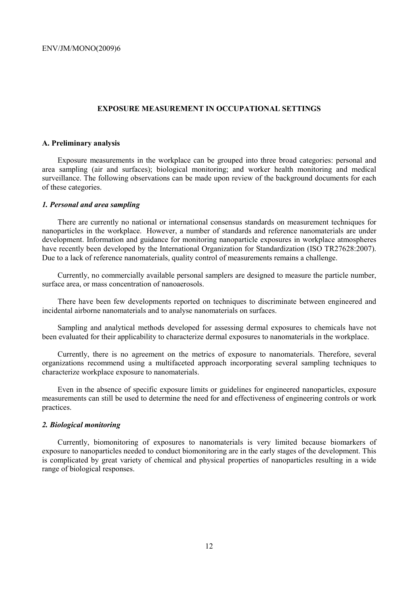#### **EXPOSURE MEASUREMENT IN OCCUPATIONAL SETTINGS**

#### **A. Preliminary analysis**

Exposure measurements in the workplace can be grouped into three broad categories: personal and area sampling (air and surfaces); biological monitoring; and worker health monitoring and medical surveillance. The following observations can be made upon review of the background documents for each of these categories.

#### *1. Personal and area sampling*

There are currently no national or international consensus standards on measurement techniques for nanoparticles in the workplace. However, a number of standards and reference nanomaterials are under development. Information and guidance for monitoring nanoparticle exposures in workplace atmospheres have recently been developed by the International Organization for Standardization (ISO TR27628:2007). Due to a lack of reference nanomaterials, quality control of measurements remains a challenge.

Currently, no commercially available personal samplers are designed to measure the particle number, surface area, or mass concentration of nanoaerosols.

There have been few developments reported on techniques to discriminate between engineered and incidental airborne nanomaterials and to analyse nanomaterials on surfaces.

Sampling and analytical methods developed for assessing dermal exposures to chemicals have not been evaluated for their applicability to characterize dermal exposures to nanomaterials in the workplace.

Currently, there is no agreement on the metrics of exposure to nanomaterials. Therefore, several organizations recommend using a multifaceted approach incorporating several sampling techniques to characterize workplace exposure to nanomaterials.

Even in the absence of specific exposure limits or guidelines for engineered nanoparticles, exposure measurements can still be used to determine the need for and effectiveness of engineering controls or work practices.

#### *2. Biological monitoring*

Currently, biomonitoring of exposures to nanomaterials is very limited because biomarkers of exposure to nanoparticles needed to conduct biomonitoring are in the early stages of the development. This is complicated by great variety of chemical and physical properties of nanoparticles resulting in a wide range of biological responses.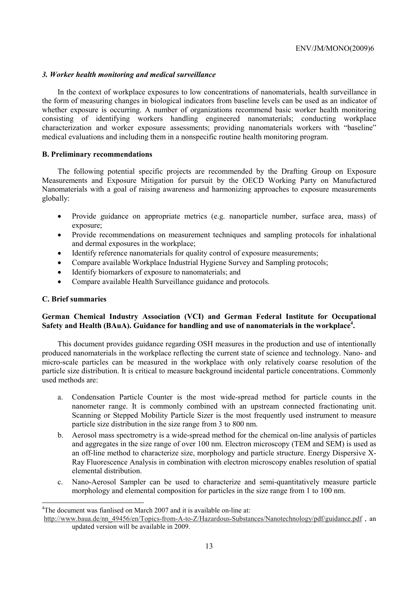# *3. Worker health monitoring and medical surveillance*

In the context of workplace exposures to low concentrations of nanomaterials, health surveillance in the form of measuring changes in biological indicators from baseline levels can be used as an indicator of whether exposure is occurring. A number of organizations recommend basic worker health monitoring consisting of identifying workers handling engineered nanomaterials; conducting workplace characterization and worker exposure assessments; providing nanomaterials workers with "baseline" medical evaluations and including them in a nonspecific routine health monitoring program.

# **B. Preliminary recommendations**

The following potential specific projects are recommended by the Drafting Group on Exposure Measurements and Exposure Mitigation for pursuit by the OECD Working Party on Manufactured Nanomaterials with a goal of raising awareness and harmonizing approaches to exposure measurements globally:

- Provide guidance on appropriate metrics (e.g. nanoparticle number, surface area, mass) of exposure;
- Provide recommendations on measurement techniques and sampling protocols for inhalational and dermal exposures in the workplace;
- Identify reference nanomaterials for quality control of exposure measurements;
- Compare available Workplace Industrial Hygiene Survey and Sampling protocols;
- Identify biomarkers of exposure to nanomaterials; and
- Compare available Health Surveillance guidance and protocols.

# **C. Brief summaries**

 $\overline{a}$ 

# **German Chemical Industry Association (VCI) and German Federal Institute for Occupational**  Safety and Health (BAuA). Guidance for handling and use of nanomaterials in the workplace<sup>4</sup>.

This document provides guidance regarding OSH measures in the production and use of intentionally produced nanomaterials in the workplace reflecting the current state of science and technology. Nano- and micro-scale particles can be measured in the workplace with only relatively coarse resolution of the particle size distribution. It is critical to measure background incidental particle concentrations. Commonly used methods are:

- a. Condensation Particle Counter is the most wide-spread method for particle counts in the nanometer range. It is commonly combined with an upstream connected fractionating unit. Scanning or Stepped Mobility Particle Sizer is the most frequently used instrument to measure particle size distribution in the size range from 3 to 800 nm.
- b. Aerosol mass spectrometry is a wide-spread method for the chemical on-line analysis of particles and aggregates in the size range of over 100 nm. Electron microscopy (TEM and SEM) is used as an off-line method to characterize size, morphology and particle structure. Energy Dispersive X-Ray Fluorescence Analysis in combination with electron microscopy enables resolution of spatial elemental distribution.
- c. Nano-Aerosol Sampler can be used to characterize and semi-quantitatively measure particle morphology and elemental composition for particles in the size range from 1 to 100 nm.

<sup>&</sup>lt;sup>4</sup>The document was fianlised on March 2007 and it is available on-line at:

http://www.baua.de/nn\_49456/en/Topics-from-A-to-Z/Hazardous-Substances/Nanotechnology/pdf/guidance.pdf, an updated version will be available in 2009.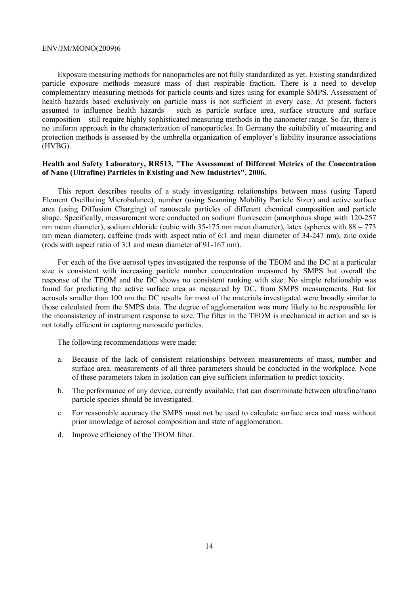Exposure measuring methods for nanoparticles are not fully standardized as yet. Existing standardized particle exposure methods measure mass of dust respirable fraction. There is a need to develop complementary measuring methods for particle counts and sizes using for example SMPS. Assessment of health hazards based exclusively on particle mass is not sufficient in every case. At present, factors assumed to influence health hazards – such as particle surface area, surface structure and surface composition – still require highly sophisticated measuring methods in the nanometer range. So far, there is no uniform approach in the characterization of nanoparticles. In Germany the suitability of measuring and protection methods is assessed by the umbrella organization of employer's liability insurance associations (HVBG).

## **Health and Safety Laboratory, RR513, "The Assessment of Different Metrics of the Concentration of Nano (Ultrafine) Particles in Existing and New Industries", 2006.**

This report describes results of a study investigating relationships between mass (using Taperd Element Oscillating Microbalance), number (using Scanning Mobility Particle Sizer) and active surface area (using Diffusion Charging) of nanoscale particles of different chemical composition and particle shape. Specifically, measurement were conducted on sodium fluorescein (amorphous shape with 120-257 nm mean diameter), sodium chloride (cubic with 35-175 nm mean diameter), latex (spheres with 88 – 773 nm mean diameter), caffeine (rods with aspect ratio of 6:1 and mean diameter of 34-247 nm), zinc oxide (rods with aspect ratio of 3:1 and mean diameter of 91-167 nm).

For each of the five aerosol types investigated the response of the TEOM and the DC at a particular size is consistent with increasing particle number concentration measured by SMPS but overall the response of the TEOM and the DC shows no consistent ranking with size. No simple relationship was found for predicting the active surface area as measured by DC, from SMPS measurements. But for aerosols smaller than 100 nm the DC results for most of the materials investigated were broadly similar to those calculated from the SMPS data. The degree of agglomeration was more likely to be responsible for the inconsistency of instrument response to size. The filter in the TEOM is mechanical in action and so is not totally efficient in capturing nanoscale particles.

The following recommendations were made:

- a. Because of the lack of consistent relationships between measurements of mass, number and surface area, measurements of all three parameters should be conducted in the workplace. None of these parameters taken in isolation can give sufficient information to predict toxicity.
- b. The performance of any device, currently available, that can discriminate between ultrafine/nano particle species should be investigated.
- c. For reasonable accuracy the SMPS must not be used to calculate surface area and mass without prior knowledge of aerosol composition and state of agglomeration.
- d. Improve efficiency of the TEOM filter.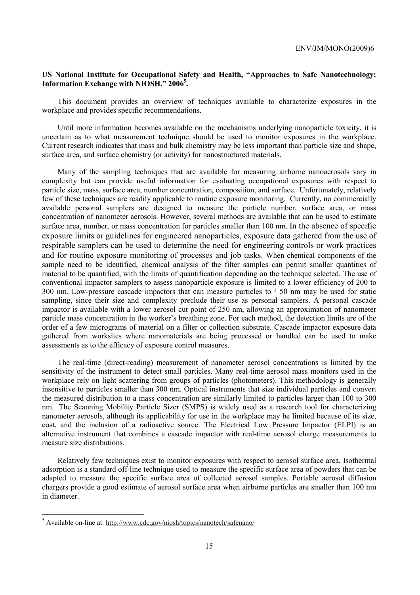## **US National Institute for Occupational Safety and Health, "Approaches to Safe Nanotechnology:**  Information Exchange with NIOSH," 2006<sup>5</sup>.

This document provides an overview of techniques available to characterize exposures in the workplace and provides specific recommendations.

Until more information becomes available on the mechanisms underlying nanoparticle toxicity, it is uncertain as to what measurement technique should be used to monitor exposures in the workplace. Current research indicates that mass and bulk chemistry may be less important than particle size and shape, surface area, and surface chemistry (or activity) for nanostructured materials.

Many of the sampling techniques that are available for measuring airborne nanoaerosols vary in complexity but can provide useful information for evaluating occupational exposures with respect to particle size, mass, surface area, number concentration, composition, and surface. Unfortunately, relatively few of these techniques are readily applicable to routine exposure monitoring. Currently, no commercially available personal samplers are designed to measure the particle number, surface area, or mass concentration of nanometer aerosols. However, several methods are available that can be used to estimate surface area, number, or mass concentration for particles smaller than 100 nm. In the absence of specific exposure limits or guidelines for engineered nanoparticles, exposure data gathered from the use of respirable samplers can be used to determine the need for engineering controls or work practices and for routine exposure monitoring of processes and job tasks. When chemical components of the sample need to be identified, chemical analysis of the filter samples can permit smaller quantities of material to be quantified, with the limits of quantification depending on the technique selected. The use of conventional impactor samplers to assess nanoparticle exposure is limited to a lower efficiency of 200 to 300 nm. Low-pressure cascade impactors that can measure particles to  $3\,$  50 nm may be used for static sampling, since their size and complexity preclude their use as personal samplers. A personal cascade impactor is available with a lower aerosol cut point of 250 nm, allowing an approximation of nanometer particle mass concentration in the worker's breathing zone. For each method, the detection limits are of the order of a few micrograms of material on a filter or collection substrate. Cascade impactor exposure data gathered from worksites where nanomaterials are being processed or handled can be used to make assessments as to the efficacy of exposure control measures.

The real-time (direct-reading) measurement of nanometer aerosol concentrations is limited by the sensitivity of the instrument to detect small particles. Many real-time aerosol mass monitors used in the workplace rely on light scattering from groups of particles (photometers). This methodology is generally insensitive to particles smaller than 300 nm. Optical instruments that size individual particles and convert the measured distribution to a mass concentration are similarly limited to particles larger than 100 to 300 nm. The Scanning Mobility Particle Sizer (SMPS) is widely used as a research tool for characterizing nanometer aerosols, although its applicability for use in the workplace may be limited because of its size, cost, and the inclusion of a radioactive source. The Electrical Low Pressure Impactor (ELPI) is an alternative instrument that combines a cascade impactor with real-time aerosol charge measurements to measure size distributions.

Relatively few techniques exist to monitor exposures with respect to aerosol surface area. Isothermal adsorption is a standard off-line technique used to measure the specific surface area of powders that can be adapted to measure the specific surface area of collected aerosol samples. Portable aerosol diffusion chargers provide a good estimate of aerosol surface area when airborne particles are smaller than 100 nm in diameter.

<sup>&</sup>lt;sup>5</sup> Available on-line at: http://www.cdc.gov/niosh/topics/nanotech/safenano/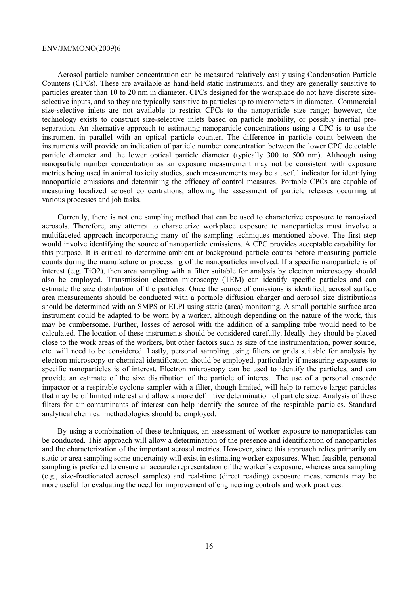Aerosol particle number concentration can be measured relatively easily using Condensation Particle Counters (CPCs). These are available as hand-held static instruments, and they are generally sensitive to particles greater than 10 to 20 nm in diameter. CPCs designed for the workplace do not have discrete sizeselective inputs, and so they are typically sensitive to particles up to micrometers in diameter. Commercial size-selective inlets are not available to restrict CPCs to the nanoparticle size range; however, the technology exists to construct size-selective inlets based on particle mobility, or possibly inertial preseparation. An alternative approach to estimating nanoparticle concentrations using a CPC is to use the instrument in parallel with an optical particle counter. The difference in particle count between the instruments will provide an indication of particle number concentration between the lower CPC detectable particle diameter and the lower optical particle diameter (typically 300 to 500 nm). Although using nanoparticle number concentration as an exposure measurement may not be consistent with exposure metrics being used in animal toxicity studies, such measurements may be a useful indicator for identifying nanoparticle emissions and determining the efficacy of control measures. Portable CPCs are capable of measuring localized aerosol concentrations, allowing the assessment of particle releases occurring at various processes and job tasks.

Currently, there is not one sampling method that can be used to characterize exposure to nanosized aerosols. Therefore, any attempt to characterize workplace exposure to nanoparticles must involve a multifaceted approach incorporating many of the sampling techniques mentioned above. The first step would involve identifying the source of nanoparticle emissions. A CPC provides acceptable capability for this purpose. It is critical to determine ambient or background particle counts before measuring particle counts during the manufacture or processing of the nanoparticles involved. If a specific nanoparticle is of interest (e.g. TiO2), then area sampling with a filter suitable for analysis by electron microscopy should also be employed. Transmission electron microscopy (TEM) can identify specific particles and can estimate the size distribution of the particles. Once the source of emissions is identified, aerosol surface area measurements should be conducted with a portable diffusion charger and aerosol size distributions should be determined with an SMPS or ELPI using static (area) monitoring. A small portable surface area instrument could be adapted to be worn by a worker, although depending on the nature of the work, this may be cumbersome. Further, losses of aerosol with the addition of a sampling tube would need to be calculated. The location of these instruments should be considered carefully. Ideally they should be placed close to the work areas of the workers, but other factors such as size of the instrumentation, power source, etc. will need to be considered. Lastly, personal sampling using filters or grids suitable for analysis by electron microscopy or chemical identification should be employed, particularly if measuring exposures to specific nanoparticles is of interest. Electron microscopy can be used to identify the particles, and can provide an estimate of the size distribution of the particle of interest. The use of a personal cascade impactor or a respirable cyclone sampler with a filter, though limited, will help to remove larger particles that may be of limited interest and allow a more definitive determination of particle size. Analysis of these filters for air contaminants of interest can help identify the source of the respirable particles. Standard analytical chemical methodologies should be employed.

By using a combination of these techniques, an assessment of worker exposure to nanoparticles can be conducted. This approach will allow a determination of the presence and identification of nanoparticles and the characterization of the important aerosol metrics. However, since this approach relies primarily on static or area sampling some uncertainty will exist in estimating worker exposures. When feasible, personal sampling is preferred to ensure an accurate representation of the worker's exposure, whereas area sampling (e.g., size-fractionated aerosol samples) and real-time (direct reading) exposure measurements may be more useful for evaluating the need for improvement of engineering controls and work practices.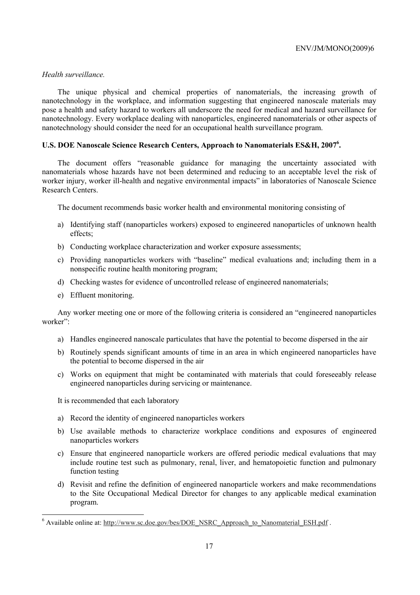### *Health surveillance.*

The unique physical and chemical properties of nanomaterials, the increasing growth of nanotechnology in the workplace, and information suggesting that engineered nanoscale materials may pose a health and safety hazard to workers all underscore the need for medical and hazard surveillance for nanotechnology. Every workplace dealing with nanoparticles, engineered nanomaterials or other aspects of nanotechnology should consider the need for an occupational health surveillance program.

# U.S. DOE Nanoscale Science Research Centers, Approach to Nanomaterials ES&H, 2007<sup>6</sup>.

The document offers "reasonable guidance for managing the uncertainty associated with nanomaterials whose hazards have not been determined and reducing to an acceptable level the risk of worker injury, worker ill-health and negative environmental impacts" in laboratories of Nanoscale Science Research Centers.

The document recommends basic worker health and environmental monitoring consisting of

- a) Identifying staff (nanoparticles workers) exposed to engineered nanoparticles of unknown health effects;
- b) Conducting workplace characterization and worker exposure assessments;
- c) Providing nanoparticles workers with "baseline" medical evaluations and; including them in a nonspecific routine health monitoring program;
- d) Checking wastes for evidence of uncontrolled release of engineered nanomaterials;
- e) Effluent monitoring.

Any worker meeting one or more of the following criteria is considered an "engineered nanoparticles worker":

- a) Handles engineered nanoscale particulates that have the potential to become dispersed in the air
- b) Routinely spends significant amounts of time in an area in which engineered nanoparticles have the potential to become dispersed in the air
- c) Works on equipment that might be contaminated with materials that could foreseeably release engineered nanoparticles during servicing or maintenance.

It is recommended that each laboratory

- a) Record the identity of engineered nanoparticles workers
- b) Use available methods to characterize workplace conditions and exposures of engineered nanoparticles workers
- c) Ensure that engineered nanoparticle workers are offered periodic medical evaluations that may include routine test such as pulmonary, renal, liver, and hematopoietic function and pulmonary function testing
- d) Revisit and refine the definition of engineered nanoparticle workers and make recommendations to the Site Occupational Medical Director for changes to any applicable medical examination program.

 $6$  Available online at: http://www.sc.doe.gov/bes/DOE\_NSRC\_Approach\_to\_Nanomaterial\_ESH.pdf .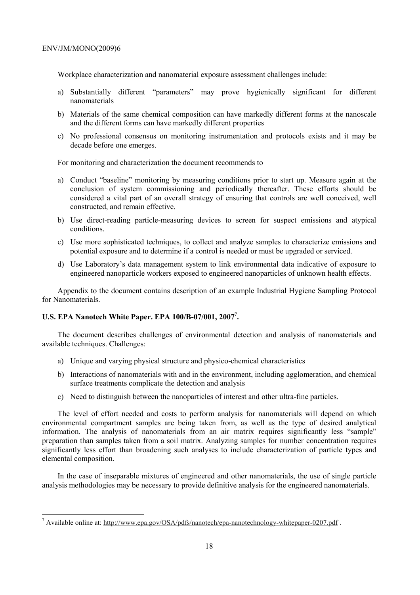Workplace characterization and nanomaterial exposure assessment challenges include:

- a) Substantially different "parameters" may prove hygienically significant for different nanomaterials
- b) Materials of the same chemical composition can have markedly different forms at the nanoscale and the different forms can have markedly different properties
- c) No professional consensus on monitoring instrumentation and protocols exists and it may be decade before one emerges.

For monitoring and characterization the document recommends to

- a) Conduct "baseline" monitoring by measuring conditions prior to start up. Measure again at the conclusion of system commissioning and periodically thereafter. These efforts should be considered a vital part of an overall strategy of ensuring that controls are well conceived, well constructed, and remain effective.
- b) Use direct-reading particle-measuring devices to screen for suspect emissions and atypical conditions.
- c) Use more sophisticated techniques, to collect and analyze samples to characterize emissions and potential exposure and to determine if a control is needed or must be upgraded or serviced.
- d) Use Laboratory's data management system to link environmental data indicative of exposure to engineered nanoparticle workers exposed to engineered nanoparticles of unknown health effects.

Appendix to the document contains description of an example Industrial Hygiene Sampling Protocol for Nanomaterials.

# U.S. EPA Nanotech White Paper. EPA 100/B-07/001, 2007<sup>7</sup>.

The document describes challenges of environmental detection and analysis of nanomaterials and available techniques. Challenges:

- a) Unique and varying physical structure and physico-chemical characteristics
- b) Interactions of nanomaterials with and in the environment, including agglomeration, and chemical surface treatments complicate the detection and analysis
- c) Need to distinguish between the nanoparticles of interest and other ultra-fine particles.

The level of effort needed and costs to perform analysis for nanomaterials will depend on which environmental compartment samples are being taken from, as well as the type of desired analytical information. The analysis of nanomaterials from an air matrix requires significantly less "sample" preparation than samples taken from a soil matrix. Analyzing samples for number concentration requires significantly less effort than broadening such analyses to include characterization of particle types and elemental composition.

In the case of inseparable mixtures of engineered and other nanomaterials, the use of single particle analysis methodologies may be necessary to provide definitive analysis for the engineered nanomaterials.

<sup>&</sup>lt;sup>7</sup> Available online at: http://www.epa.gov/OSA/pdfs/nanotech/epa-nanotechnology-whitepaper-0207.pdf.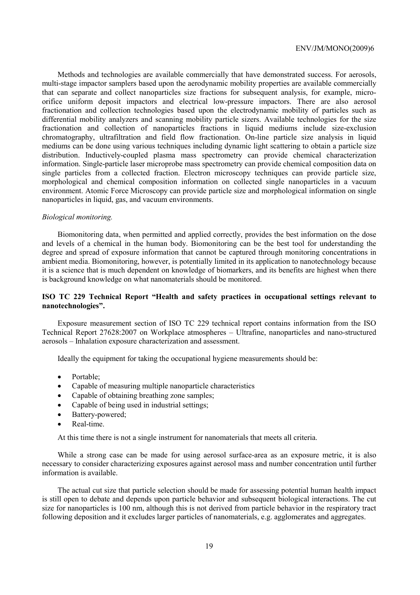Methods and technologies are available commercially that have demonstrated success. For aerosols, multi-stage impactor samplers based upon the aerodynamic mobility properties are available commercially that can separate and collect nanoparticles size fractions for subsequent analysis, for example, microorifice uniform deposit impactors and electrical low-pressure impactors. There are also aerosol fractionation and collection technologies based upon the electrodynamic mobility of particles such as differential mobility analyzers and scanning mobility particle sizers. Available technologies for the size fractionation and collection of nanoparticles fractions in liquid mediums include size-exclusion chromatography, ultrafiltration and field flow fractionation. On-line particle size analysis in liquid mediums can be done using various techniques including dynamic light scattering to obtain a particle size distribution. Inductively-coupled plasma mass spectrometry can provide chemical characterization information. Single-particle laser microprobe mass spectrometry can provide chemical composition data on single particles from a collected fraction. Electron microscopy techniques can provide particle size, morphological and chemical composition information on collected single nanoparticles in a vacuum environment. Atomic Force Microscopy can provide particle size and morphological information on single nanoparticles in liquid, gas, and vacuum environments.

#### *Biological monitoring.*

Biomonitoring data, when permitted and applied correctly, provides the best information on the dose and levels of a chemical in the human body. Biomonitoring can be the best tool for understanding the degree and spread of exposure information that cannot be captured through monitoring concentrations in ambient media. Biomonitoring, however, is potentially limited in its application to nanotechnology because it is a science that is much dependent on knowledge of biomarkers, and its benefits are highest when there is background knowledge on what nanomaterials should be monitored.

## **ISO TC 229 Technical Report "Health and safety practices in occupational settings relevant to nanotechnologies".**

Exposure measurement section of ISO TC 229 technical report contains information from the ISO Technical Report 27628:2007 on Workplace atmospheres – Ultrafine, nanoparticles and nano-structured aerosols – Inhalation exposure characterization and assessment.

Ideally the equipment for taking the occupational hygiene measurements should be:

- Portable:
- Capable of measuring multiple nanoparticle characteristics
- Capable of obtaining breathing zone samples;
- Capable of being used in industrial settings;
- Battery-powered;
- Real-time.

At this time there is not a single instrument for nanomaterials that meets all criteria.

While a strong case can be made for using aerosol surface-area as an exposure metric, it is also necessary to consider characterizing exposures against aerosol mass and number concentration until further information is available.

The actual cut size that particle selection should be made for assessing potential human health impact is still open to debate and depends upon particle behavior and subsequent biological interactions. The cut size for nanoparticles is 100 nm, although this is not derived from particle behavior in the respiratory tract following deposition and it excludes larger particles of nanomaterials, e.g. agglomerates and aggregates.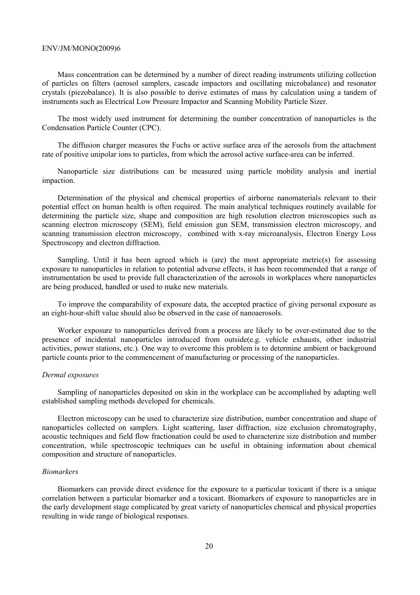Mass concentration can be determined by a number of direct reading instruments utilizing collection of particles on filters (aerosol samplers, cascade impactors and oscillating microbalance) and resonator crystals (piezobalance). It is also possible to derive estimates of mass by calculation using a tandem of instruments such as Electrical Low Pressure Impactor and Scanning Mobility Particle Sizer.

The most widely used instrument for determining the number concentration of nanoparticles is the Condensation Particle Counter (CPC).

The diffusion charger measures the Fuchs or active surface area of the aerosols from the attachment rate of positive unipolar ions to particles, from which the aerosol active surface-area can be inferred.

Nanoparticle size distributions can be measured using particle mobility analysis and inertial impaction.

Determination of the physical and chemical properties of airborne nanomaterials relevant to their potential effect on human health is often required. The main analytical techniques routinely available for determining the particle size, shape and composition are high resolution electron microscopies such as scanning electron microscopy (SEM), field emission gun SEM, transmission electron microscopy, and scanning transmission electron microscopy, combined with x-ray microanalysis, Electron Energy Loss Spectroscopy and electron diffraction.

Sampling. Until it has been agreed which is (are) the most appropriate metric(s) for assessing exposure to nanoparticles in relation to potential adverse effects, it has been recommended that a range of instrumentation be used to provide full characterization of the aerosols in workplaces where nanoparticles are being produced, handled or used to make new materials.

To improve the comparability of exposure data, the accepted practice of giving personal exposure as an eight-hour-shift value should also be observed in the case of nanoaerosols.

Worker exposure to nanoparticles derived from a process are likely to be over-estimated due to the presence of incidental nanoparticles introduced from outside(e.g. vehicle exhausts, other industrial activities, power stations, etc.). One way to overcome this problem is to determine ambient or background particle counts prior to the commencement of manufacturing or processing of the nanoparticles.

#### *Dermal exposures*

Sampling of nanoparticles deposited on skin in the workplace can be accomplished by adapting well established sampling methods developed for chemicals.

Electron microscopy can be used to characterize size distribution, number concentration and shape of nanoparticles collected on samplers. Light scattering, laser diffraction, size exclusion chromatography, acoustic techniques and field flow fractionation could be used to characterize size distribution and number concentration, while spectroscopic techniques can be useful in obtaining information about chemical composition and structure of nanoparticles.

#### *Biomarkers*

Biomarkers can provide direct evidence for the exposure to a particular toxicant if there is a unique correlation between a particular biomarker and a toxicant. Biomarkers of exposure to nanoparticles are in the early development stage complicated by great variety of nanoparticles chemical and physical properties resulting in wide range of biological responses.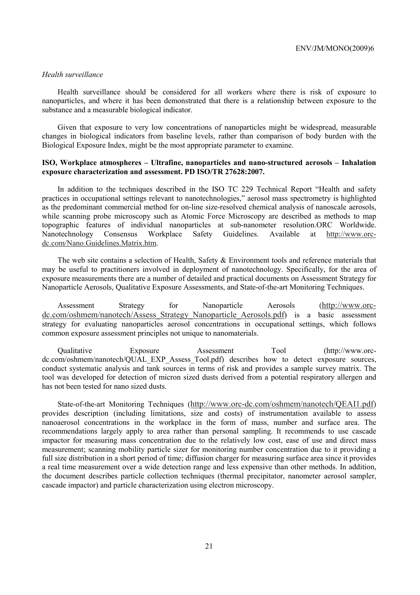### *Health surveillance*

Health surveillance should be considered for all workers where there is risk of exposure to nanoparticles, and where it has been demonstrated that there is a relationship between exposure to the substance and a measurable biological indicator.

Given that exposure to very low concentrations of nanoparticles might be widespread, measurable changes in biological indicators from baseline levels, rather than comparison of body burden with the Biological Exposure Index, might be the most appropriate parameter to examine.

#### **ISO, Workplace atmospheres – Ultrafine, nanoparticles and nano-structured aerosols – Inhalation exposure characterization and assessment. PD ISO/TR 27628:2007.**

In addition to the techniques described in the ISO TC 229 Technical Report "Health and safety practices in occupational settings relevant to nanotechnologies," aerosol mass spectrometry is highlighted as the predominant commercial method for on-line size-resolved chemical analysis of nanoscale aerosols, while scanning probe microscopy such as Atomic Force Microscopy are described as methods to map topographic features of individual nanoparticles at sub-nanometer resolution.ORC Worldwide. Nanotechnology Consensus Workplace Safety Guidelines. Available at http://www.orcdc.com/Nano.Guidelines.Matrix.htm.

The web site contains a selection of Health, Safety & Environment tools and reference materials that may be useful to practitioners involved in deployment of nanotechnology. Specifically, for the area of exposure measurements there are a number of detailed and practical documents on Assessment Strategy for Nanoparticle Aerosols, Qualitative Exposure Assessments, and State-of-the-art Monitoring Techniques.

Assessment Strategy for Nanoparticle Aerosols (http://www.orcdc.com/oshmem/nanotech/Assess\_Strategy\_Nanoparticle\_Aerosols.pdf) is a basic assessment strategy for evaluating nanoparticles aerosol concentrations in occupational settings, which follows common exposure assessment principles not unique to nanomaterials.

Qualitative Exposure Assessment Tool (http://www.orcdc.com/oshmem/nanotech/QUAL\_EXP\_Assess\_Tool.pdf) describes how to detect exposure sources, conduct systematic analysis and tank sources in terms of risk and provides a sample survey matrix. The tool was developed for detection of micron sized dusts derived from a potential respiratory allergen and has not been tested for nano sized dusts.

State-of-the-art Monitoring Techniques (http://www.orc-dc.com/oshmem/nanotech/QEAI1.pdf) provides description (including limitations, size and costs) of instrumentation available to assess nanoaerosol concentrations in the workplace in the form of mass, number and surface area. The recommendations largely apply to area rather than personal sampling. It recommends to use cascade impactor for measuring mass concentration due to the relatively low cost, ease of use and direct mass measurement; scanning mobility particle sizer for monitoring number concentration due to it providing a full size distribution in a short period of time; diffusion charger for measuring surface area since it provides a real time measurement over a wide detection range and less expensive than other methods. In addition, the document describes particle collection techniques (thermal precipitator, nanometer aerosol sampler, cascade impactor) and particle characterization using electron microscopy.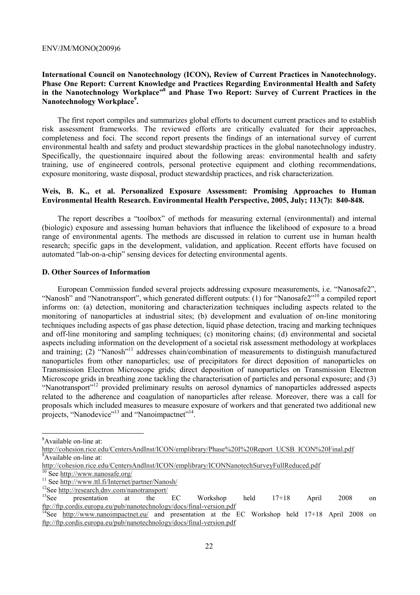# **International Council on Nanotechnology (ICON), Review of Current Practices in Nanotechnology. Phase One Report: Current Knowledge and Practices Regarding Environmental Health and Safety**  in the Nanotechnology Workplace"<sup>8</sup> and Phase Two Report: Survey of Current Practices in the **Nanotechnology Workplace9 .**

The first report compiles and summarizes global efforts to document current practices and to establish risk assessment frameworks. The reviewed efforts are critically evaluated for their approaches, completeness and foci. The second report presents the findings of an international survey of current environmental health and safety and product stewardship practices in the global nanotechnology industry. Specifically, the questionnaire inquired about the following areas: environmental health and safety training, use of engineered controls, personal protective equipment and clothing recommendations, exposure monitoring, waste disposal, product stewardship practices, and risk characterization.

## **Weis, B. K., et al. Personalized Exposure Assessment: Promising Approaches to Human Environmental Health Research. Environmental Health Perspective, 2005, July; 113(7): 840-848.**

The report describes a "toolbox" of methods for measuring external (environmental) and internal (biologic) exposure and assessing human behaviors that influence the likelihood of exposure to a broad range of environmental agents. The methods are discussed in relation to current use in human health research; specific gaps in the development, validation, and application. Recent efforts have focused on automated "lab-on-a-chip" sensing devices for detecting environmental agents.

#### **D. Other Sources of Information**

European Commission funded several projects addressing exposure measurements, i.e. "Nanosafe2", "Nanosh" and "Nanotransport", which generated different outputs: (1) for "Nanosafe2"10 a compiled report informs on: (a) detection, monitoring and characterization techniques including aspects related to the monitoring of nanoparticles at industrial sites; (b) development and evaluation of on-line monitoring techniques including aspects of gas phase detection, liquid phase detection, tracing and marking techniques and off-line monitoring and sampling techniques; (c) monitoring chains; (d) environmental and societal aspects including information on the development of a societal risk assessment methodology at workplaces and training; (2) "Nanosh"<sup>11</sup> addresses chain/combination of measurements to distinguish manufactured nanoparticles from other nanoparticles; use of precipitators for direct deposition of nanoparticles on Transmission Electron Microscope grids; direct deposition of nanoparticles on Transmission Electron Microscope grids in breathing zone tackling the characterisation of particles and personal exposure; and (3) "Nanotransport"<sup>12</sup> provided preliminary results on aerosol dynamics of nanoparticles addressed aspects related to the adherence and coagulation of nanoparticles after release. Moreover, there was a call for proposals which included measures to measure exposure of workers and that generated two additional new projects, "Nanodevice"<sup>13</sup> and "Nanoimpactnet"<sup>14</sup>.

<sup>&</sup>lt;sup>8</sup> Available on-line at:

http://cohesion.rice.edu/CentersAndInst/ICON/emplibrary/Phase%20I%20Report\_UCSB\_ICON%20Final.pdf<br><sup>9</sup>Available on-line at:

http://cohesion.rice.edu/CentersAndInst/ICON/emplibrary/ICONNanotechSurveyFullReduced.pdf<br>
<sup>10</sup> See <u>http://www.nanosafe.org/</u><br>
<sup>11</sup> See <u>http://www.ttl.fi/Internet/partner/Nanosh/</u><br>
<sup>12</sup> See http://research.dnv.com/nanotr ftp://ftp.cordis.europa.eu/pub/nanotechnology/docs/final-version.pdf 14See http://www.nanoimpactnet.eu/ and presentation at the EC Workshop held 17+18 April 2008 on

ftp://ftp.cordis.europa.eu/pub/nanotechnology/docs/final-version.pdf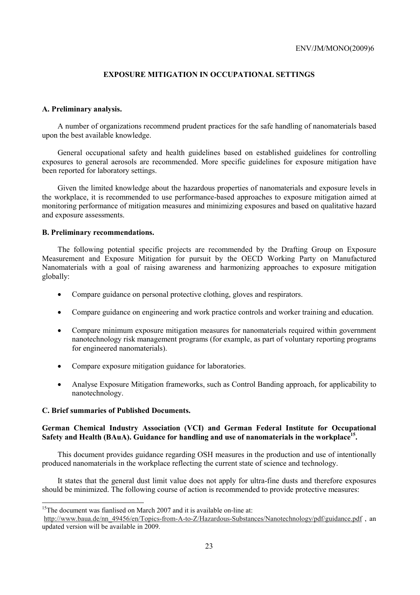# **EXPOSURE MITIGATION IN OCCUPATIONAL SETTINGS**

#### **A. Preliminary analysis.**

A number of organizations recommend prudent practices for the safe handling of nanomaterials based upon the best available knowledge.

General occupational safety and health guidelines based on established guidelines for controlling exposures to general aerosols are recommended. More specific guidelines for exposure mitigation have been reported for laboratory settings.

Given the limited knowledge about the hazardous properties of nanomaterials and exposure levels in the workplace, it is recommended to use performance-based approaches to exposure mitigation aimed at monitoring performance of mitigation measures and minimizing exposures and based on qualitative hazard and exposure assessments.

#### **B. Preliminary recommendations.**

The following potential specific projects are recommended by the Drafting Group on Exposure Measurement and Exposure Mitigation for pursuit by the OECD Working Party on Manufactured Nanomaterials with a goal of raising awareness and harmonizing approaches to exposure mitigation globally:

- Compare guidance on personal protective clothing, gloves and respirators.
- Compare guidance on engineering and work practice controls and worker training and education.
- Compare minimum exposure mitigation measures for nanomaterials required within government nanotechnology risk management programs (for example, as part of voluntary reporting programs for engineered nanomaterials).
- Compare exposure mitigation guidance for laboratories.
- Analyse Exposure Mitigation frameworks, such as Control Banding approach, for applicability to nanotechnology.

#### **C. Brief summaries of Published Documents.**

 $\overline{a}$ 

#### **German Chemical Industry Association (VCI) and German Federal Institute for Occupational**  Safety and Health (BAuA). Guidance for handling and use of nanomaterials in the workplace<sup>15</sup>.

This document provides guidance regarding OSH measures in the production and use of intentionally produced nanomaterials in the workplace reflecting the current state of science and technology.

It states that the general dust limit value does not apply for ultra-fine dusts and therefore exposures should be minimized. The following course of action is recommended to provide protective measures:

 $15$ The document was fianlised on March 2007 and it is available on-line at:

http://www.baua.de/nn\_49456/en/Topics-from-A-to-Z/Hazardous-Substances/Nanotechnology/pdf/guidance.pdf, an updated version will be available in 2009.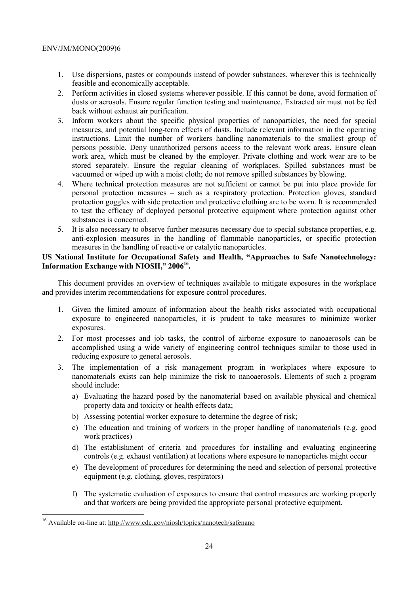- 1. Use dispersions, pastes or compounds instead of powder substances, wherever this is technically feasible and economically acceptable.
- 2. Perform activities in closed systems wherever possible. If this cannot be done, avoid formation of dusts or aerosols. Ensure regular function testing and maintenance. Extracted air must not be fed back without exhaust air purification.
- 3. Inform workers about the specific physical properties of nanoparticles, the need for special measures, and potential long-term effects of dusts. Include relevant information in the operating instructions. Limit the number of workers handling nanomaterials to the smallest group of persons possible. Deny unauthorized persons access to the relevant work areas. Ensure clean work area, which must be cleaned by the employer. Private clothing and work wear are to be stored separately. Ensure the regular cleaning of workplaces. Spilled substances must be vacuumed or wiped up with a moist cloth; do not remove spilled substances by blowing.
- 4. Where technical protection measures are not sufficient or cannot be put into place provide for personal protection measures – such as a respiratory protection. Protection gloves, standard protection goggles with side protection and protective clothing are to be worn. It is recommended to test the efficacy of deployed personal protective equipment where protection against other substances is concerned.
- 5. It is also necessary to observe further measures necessary due to special substance properties, e.g. anti-explosion measures in the handling of flammable nanoparticles, or specific protection measures in the handling of reactive or catalytic nanoparticles.

## **US National Institute for Occupational Safety and Health, "Approaches to Safe Nanotechnology:**  Information Exchange with NIOSH," 2006<sup>16</sup>.

This document provides an overview of techniques available to mitigate exposures in the workplace and provides interim recommendations for exposure control procedures.

- 1. Given the limited amount of information about the health risks associated with occupational exposure to engineered nanoparticles, it is prudent to take measures to minimize worker exposures.
- 2. For most processes and job tasks, the control of airborne exposure to nanoaerosols can be accomplished using a wide variety of engineering control techniques similar to those used in reducing exposure to general aerosols.
- 3. The implementation of a risk management program in workplaces where exposure to nanomaterials exists can help minimize the risk to nanoaerosols. Elements of such a program should include:
	- a) Evaluating the hazard posed by the nanomaterial based on available physical and chemical property data and toxicity or health effects data;
	- b) Assessing potential worker exposure to determine the degree of risk;
	- c) The education and training of workers in the proper handling of nanomaterials (e.g. good work practices)
	- d) The establishment of criteria and procedures for installing and evaluating engineering controls (e.g. exhaust ventilation) at locations where exposure to nanoparticles might occur
	- e) The development of procedures for determining the need and selection of personal protective equipment (e.g. clothing, gloves, respirators)
	- f) The systematic evaluation of exposures to ensure that control measures are working properly and that workers are being provided the appropriate personal protective equipment.

<sup>&</sup>lt;sup>16</sup> Available on-line at: http://www.cdc.gov/niosh/topics/nanotech/safenano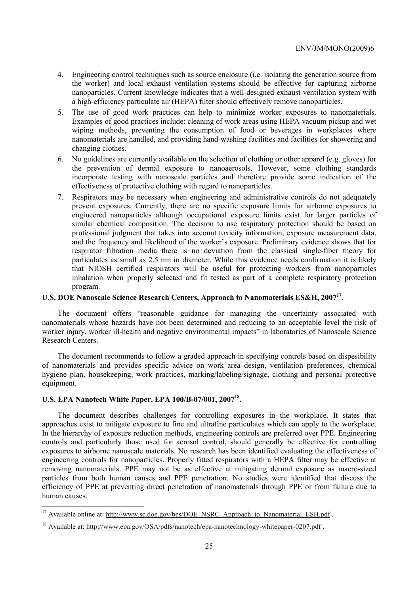- 4. Engineering control techniques such as source enclosure (i.e. isolating the generation source from the worker) and local exhaust ventilation systems should be effective for capturing airborne nanoparticles. Current knowledge indicates that a well-designed exhaust ventilation system with a high-efficiency particulate air (HEPA) filter should effectively remove nanoparticles.
- 5. The use of good work practices can help to minimize worker exposures to nanomaterials. Examples of good practices include: cleaning of work areas using HEPA vacuum pickup and wet wiping methods, preventing the consumption of food or beverages in workplaces where nanomaterials are handled, and providing hand-washing facilities and facilities for showering and changing clothes.
- 6. No guidelines are currently available on the selection of clothing or other apparel (e.g. gloves) for the prevention of dermal exposure to nanoaerosols. However, some clothing standards incorporate testing with nanoscale particles and therefore provide some indication of the effectiveness of protective clothing with regard to nanoparticles.
- 7. Respirators may be necessary when engineering and administrative controls do not adequately prevent exposures. Currently, there are no specific exposure limits for airborne exposures to engineered nanoparticles although occupational exposure limits exist for larger particles of similar chemical composition. The decision to use respiratory protection should be based on professional judgment that takes into account toxicity information, exposure measurement data, and the frequency and likelihood of the worker's exposure. Preliminary evidence shows that for respirator filtration media there is no deviation from the classical single-fiber theory for particulates as small as 2.5 nm in diameter. While this evidence needs confirmation it is likely that NIOSH certified respirators will be useful for protecting workers from nanoparticles inhalation when properly selected and fit tested as part of a complete respiratory protection program.

# U.S. DOE Nanoscale Science Research Centers, Approach to Nanomaterials ES&H, 2007<sup>17</sup>.

The document offers "reasonable guidance for managing the uncertainty associated with nanomaterials whose hazards have not been determined and reducing to an acceptable level the risk of worker injury, worker ill-health and negative environmental impacts" in laboratories of Nanoscale Science Research Centers.

The document recommends to follow a graded approach in specifying controls based on dispesibility of nanomaterials and provides specific advice on work area design, ventilation preferences, chemical hygiene plan, housekeeping, work practices, marking/labeling/signage, clothing and personal protective equipment.

# **U.S. EPA Nanotech White Paper. EPA 100/B-07/001, 200718.**

 $\overline{a}$ 

The document describes challenges for controlling exposures in the workplace. It states that approaches exist to mitigate exposure to fine and ultrafine particulates which can apply to the workplace. In the hierarchy of exposure reduction methods, engineering controls are preferred over PPE. Engineering controls and particularly those used for aerosol control, should generally be effective for controlling exposures to airborne nanoscale materials. No research has been identified evaluating the effectiveness of engineering controls for nanoparticles. Properly fitted respirators with a HEPA filter may be effective at removing nanomaterials. PPE may not be as effective at mitigating dermal exposure as macro-sized particles from both human causes and PPE penetration. No studies were identified that discuss the efficiency of PPE at preventing direct penetration of nanomaterials through PPE or from failure due to human causes.

<sup>&</sup>lt;sup>17</sup> Available online at:  $\frac{http://www.sc.doe.gov/bes/DOE$  NSRC Approach to Nanomaterial ESH.pdf .

<sup>&</sup>lt;sup>18</sup> Available at: http://www.epa.gov/OSA/pdfs/nanotech/epa-nanotechnology-whitepaper-0207.pdf.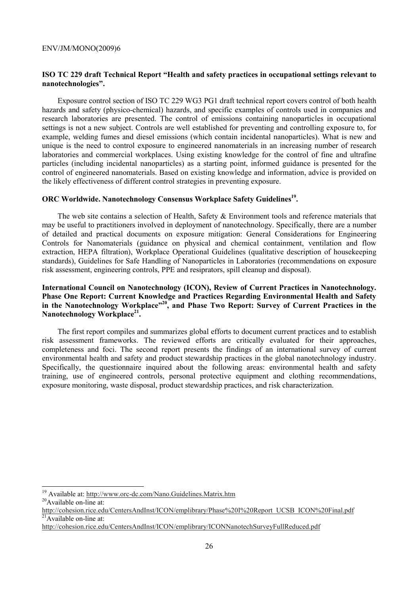## **ISO TC 229 draft Technical Report "Health and safety practices in occupational settings relevant to nanotechnologies".**

Exposure control section of ISO TC 229 WG3 PG1 draft technical report covers control of both health hazards and safety (physico-chemical) hazards, and specific examples of controls used in companies and research laboratories are presented. The control of emissions containing nanoparticles in occupational settings is not a new subject. Controls are well established for preventing and controlling exposure to, for example, welding fumes and diesel emissions (which contain incidental nanoparticles). What is new and unique is the need to control exposure to engineered nanomaterials in an increasing number of research laboratories and commercial workplaces. Using existing knowledge for the control of fine and ultrafine particles (including incidental nanoparticles) as a starting point, informed guidance is presented for the control of engineered nanomaterials. Based on existing knowledge and information, advice is provided on the likely effectiveness of different control strategies in preventing exposure.

#### **ORC Worldwide. Nanotechnology Consensus Workplace Safety Guidelines<sup>19</sup>.**

The web site contains a selection of Health, Safety & Environment tools and reference materials that may be useful to practitioners involved in deployment of nanotechnology. Specifically, there are a number of detailed and practical documents on exposure mitigation: General Considerations for Engineering Controls for Nanomaterials (guidance on physical and chemical containment, ventilation and flow extraction, HEPA filtration), Workplace Operational Guidelines (qualitative description of housekeeping standards), Guidelines for Safe Handling of Nanoparticles in Laboratories (recommendations on exposure risk assessment, engineering controls, PPE and resiprators, spill cleanup and disposal).

# **International Council on Nanotechnology (ICON), Review of Current Practices in Nanotechnology. Phase One Report: Current Knowledge and Practices Regarding Environmental Health and Safety**  in the Nanotechnology Workplace"<sup>20</sup>, and Phase Two Report: Survey of Current Practices in the Nanotechnology Workplace<sup>21</sup>.

The first report compiles and summarizes global efforts to document current practices and to establish risk assessment frameworks. The reviewed efforts are critically evaluated for their approaches, completeness and foci. The second report presents the findings of an international survey of current environmental health and safety and product stewardship practices in the global nanotechnology industry. Specifically, the questionnaire inquired about the following areas: environmental health and safety training, use of engineered controls, personal protective equipment and clothing recommendations, exposure monitoring, waste disposal, product stewardship practices, and risk characterization.

<sup>&</sup>lt;sup>19</sup> Available at: http://www.orc-dc.com/Nano.Guidelines.Matrix.htm <sup>20</sup>Available on-line at:

http://cohesion.rice.edu/CentersAndInst/ICON/emplibrary/Phase%20I%20Report\_UCSB\_ICON%20Final.pdf <sup>21</sup>Available on-line at:

http://cohesion.rice.edu/CentersAndInst/ICON/emplibrary/ICONNanotechSurveyFullReduced.pdf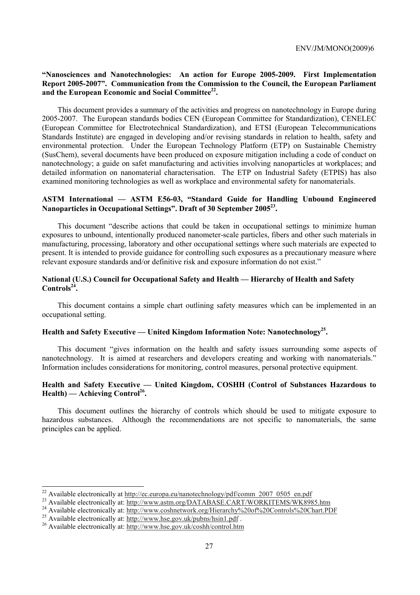# **"Nanosciences and Nanotechnologies: An action for Europe 2005-2009. First Implementation Report 2005-2007". Communication from the Commission to the Council, the European Parliament**  and the European Economic and Social Committee<sup>22</sup>.

This document provides a summary of the activities and progress on nanotechnology in Europe during 2005-2007. The European standards bodies CEN (European Committee for Standardization), CENELEC (European Committee for Electrotechnical Standardization), and ETSI (European Telecommunications Standards Institute) are engaged in developing and/or revising standards in relation to health, safety and environmental protection. Under the European Technology Platform (ETP) on Sustainable Chemistry (SusChem), several documents have been produced on exposure mitigation including a code of conduct on nanotechnology; a guide on safet manufacturing and activities involving nanoparticles at workplaces; and detailed information on nanomaterial characterisation. The ETP on Industrial Safety (ETPIS) has also examined monitoring technologies as well as workplace and environmental safety for nanomaterials.

# **ASTM International — ASTM E56-03, "Standard Guide for Handling Unbound Engineered**  Nanoparticles in Occupational Settings". Draft of 30 September 2005<sup>23</sup>.

This document "describe actions that could be taken in occupational settings to minimize human exposures to unbound, intentionally produced nanometer-scale particles, fibers and other such materials in manufacturing, processing, laboratory and other occupational settings where such materials are expected to present. It is intended to provide guidance for controlling such exposures as a precautionary measure where relevant exposure standards and/or definitive risk and exposure information do not exist."

#### **National (U.S.) Council for Occupational Safety and Health — Hierarchy of Health and Safety**  Controls<sup>24</sup>.

This document contains a simple chart outlining safety measures which can be implemented in an occupational setting.

# Health and Safety Executive — United Kingdom Information Note: Nanotechnology<sup>25</sup>.

This document "gives information on the health and safety issues surrounding some aspects of nanotechnology. It is aimed at researchers and developers creating and working with nanomaterials." Information includes considerations for monitoring, control measures, personal protective equipment.

## **Health and Safety Executive — United Kingdom, COSHH (Control of Substances Hazardous to**  Health) — Achieving Control<sup>26</sup>.

This document outlines the hierarchy of controls which should be used to mitigate exposure to hazardous substances. Although the recommendations are not specific to nanomaterials, the same principles can be applied.

<sup>&</sup>lt;sup>22</sup> Available electronically at http://ec.europa.eu/nanotechnology/pdf/comm 2007 0505 en.pdf

<sup>&</sup>lt;sup>23</sup> Available electronically at: http://www.astm.org/DATABASE.CART/WORKITEMS/WK8985.htm<br><sup>24</sup> Available electronically at: http://www.coshnetwork.org/Hierarchy%20of%20Controls%20Chart.PDF<br><sup>25</sup> Available electronically at: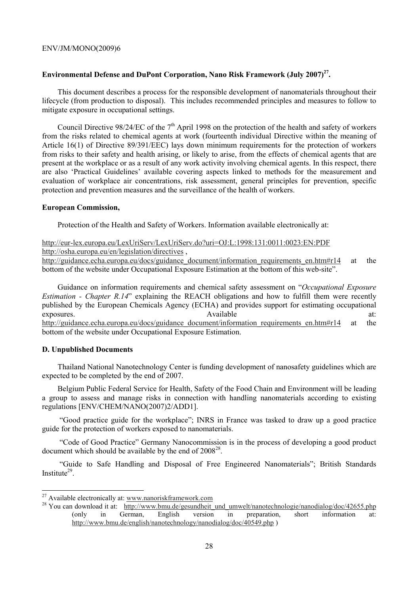# **Environmental Defense and DuPont Corporation, Nano Risk Framework (July 2007)<sup>27</sup>.**

This document describes a process for the responsible development of nanomaterials throughout their lifecycle (from production to disposal). This includes recommended principles and measures to follow to mitigate exposure in occupational settings.

Council Directive 98/24/EC of the  $7<sup>th</sup>$  April 1998 on the protection of the health and safety of workers from the risks related to chemical agents at work (fourteenth individual Directive within the meaning of Article 16(1) of Directive 89/391/EEC) lays down minimum requirements for the protection of workers from risks to their safety and health arising, or likely to arise, from the effects of chemical agents that are present at the workplace or as a result of any work activity involving chemical agents. In this respect, there are also 'Practical Guidelines' available covering aspects linked to methods for the measurement and evaluation of workplace air concentrations, risk assessment, general principles for prevention, specific protection and prevention measures and the surveillance of the health of workers.

#### **European Commission,**

Protection of the Health and Safety of Workers. Information available electronically at:

http://eur-lex.europa.eu/LexUriServ/LexUriServ.do?uri=OJ:L:1998:131:0011:0023:EN:PDF http://osha.europa.eu/en/legislation/directives ,

http://guidance.echa.europa.eu/docs/guidance\_document/information\_requirements\_en.htm#r14 at the bottom of the website under Occupational Exposure Estimation at the bottom of this web-site".

Guidance on information requirements and chemical safety assessment on "*Occupational Exposure Estimation - Chapter R.14*" explaining the REACH obligations and how to fulfill them were recently published by the European Chemicals Agency (ECHA) and provides support for estimating occupational exposures. Available at: http://guidance.echa.europa.eu/docs/guidance\_document/information\_requirements\_en.htm#r14 at the bottom of the website under Occupational Exposure Estimation.

#### **D. Unpublished Documents**

Thailand National Nanotechnology Center is funding development of nanosafety guidelines which are expected to be completed by the end of 2007.

Belgium Public Federal Service for Health, Safety of the Food Chain and Environment will be leading a group to assess and manage risks in connection with handling nanomaterials according to existing regulations [ENV/CHEM/NANO(2007)2/ADD1].

 "Good practice guide for the workplace"; INRS in France was tasked to draw up a good practice guide for the protection of workers exposed to nanomaterials.

 "Code of Good Practice" Germany Nanocommission is in the process of developing a good product document which should be available by the end of 2008<sup>28</sup>.

 "Guide to Safe Handling and Disposal of Free Engineered Nanomaterials"; British Standards Institute $^{29}$ .

<sup>&</sup>lt;sup>27</sup> Available electronically at: www.nanoriskframework.com<br><sup>28</sup> You can download it at: http://www.bmu.de/gesundheit\_und\_umwelt/nanotechnologie/nanodialog/doc/42655.php (only in German, English version in preparation, short information at: http://www.bmu.de/english/nanotechnology/nanodialog/doc/40549.php )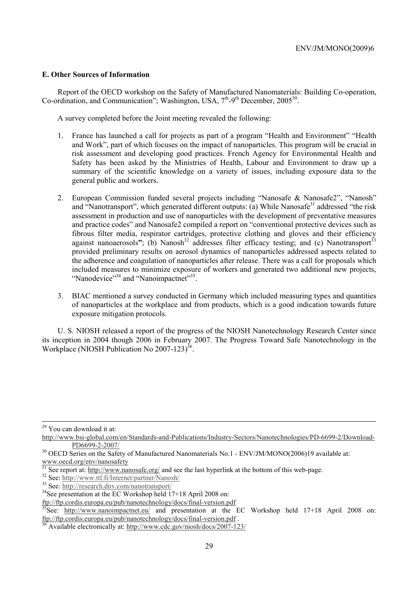# **E. Other Sources of Information**

Report of the OECD workshop on the Safety of Manufactured Nanomaterials: Building Co-operation, Co-ordination, and Communication"; Washington, USA,  $7<sup>th</sup>$ -9<sup>th</sup> December, 2005<sup>30</sup>.

A survey completed before the Joint meeting revealed the following:

- 1. France has launched a call for projects as part of a program "Health and Environment" "Health and Work", part of which focuses on the impact of nanoparticles. This program will be crucial in risk assessment and developing good practices. French Agency for Environmental Health and Safety has been asked by the Ministries of Health, Labour and Environment to draw up a summary of the scientific knowledge on a variety of issues, including exposure data to the general public and workers.
- 2. European Commission funded several projects including "Nanosafe & Nanosafe2", "Nanosh" and "Nanotransport", which generated different outputs: (a) While Nanosafe<sup>31</sup> addressed "the risk assessment in production and use of nanoparticles with the development of preventative measures and practice codes" and Nanosafe2 compiled a report on "conventional protective devices such as fibrous filter media, respirator cartridges, protective clothing and gloves and their efficiency against nanoaerosols"; (b) Nanosh<sup>32</sup> addresses filter efficacy testing; and (c) Nanotransport<sup>3</sup> provided preliminary results on aerosol dynamics of nanoparticles addressed aspects related to the adherence and coagulation of nanoparticles after release. There was a call for proposals which included measures to minimize exposure of workers and generated two additional new projects, "Nanodevice"<sup>34</sup> and "Nanoimpactnet"<sup>35</sup>.
- 3. BIAC mentioned a survey conducted in Germany which included measuring types and quantities of nanoparticles at the workplace and from products, which is a good indication towards future exposure mitigation protocols.

U. S. NIOSH released a report of the progress of the NIOSH Nanotechnology Research Center since its inception in 2004 though 2006 in February 2007. The Progress Toward Safe Nanotechnology in the Workplace (NIOSH Publication No  $2007-123$ )<sup>36</sup>.

29 You can download it at:

http://www.bsi-global.com/en/Standards-and-Publications/Industry-Sectors/Nanotechnologies/PD-6699-2/Download-PD6699-2-2007/<br><sup>30</sup> OECD Series on the Safety of Manufactured Nanomaterials No.1 - ENV/JM/MONO(2006)19 available at:

www.oecd.org/env/nanosafety<br>
<sup>31</sup> See report at: <u>http://www.nanosafe.org/</u> and see the last hyperlink at the bottom of this web-page.<br>
<sup>32</sup> See: <u>http://www.ttl.fi/Internet/partner/Nanosh/</u><br>
<sup>33</sup> See: <u>http://research.dn</u>

ftp://ftp.cordis.europa.eu/pub/nanotechnology/docs/final-version.pdf<br><sup>35</sup>See: http://www.nanoimpactnet.eu/ and presentation at the EC Workshop held 17+18 April 2008 on: ftp://ftp.cordis.europa.eu/pub/nanotechnology/docs/final-version.pdf . 36 Available electronically at: http://www.cdc.gov/niosh/docs/2007-123/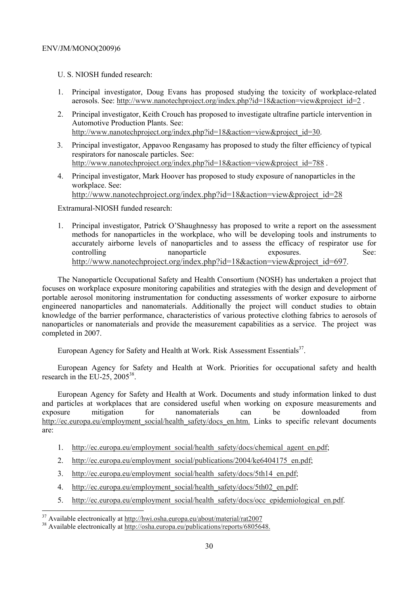U. S. NIOSH funded research:

- 1. Principal investigator, Doug Evans has proposed studying the toxicity of workplace-related aerosols. See: http://www.nanotechproject.org/index.php?id=18&action=view&project\_id=2.
- 2. Principal investigator, Keith Crouch has proposed to investigate ultrafine particle intervention in Automotive Production Plants. See: http://www.nanotechproject.org/index.php?id=18&action=view&project\_id=30.
- 3. Principal investigator, Appavoo Rengasamy has proposed to study the filter efficiency of typical respirators for nanoscale particles. See: http://www.nanotechproject.org/index.php?id=18&action=view&project\_id=788.
- 4. Principal investigator, Mark Hoover has proposed to study exposure of nanoparticles in the workplace. See: http://www.nanotechproject.org/index.php?id=18&action=view&project\_id=28

Extramural-NIOSH funded research:

1. Principal investigator, Patrick O'Shaughnessy has proposed to write a report on the assessment methods for nanoparticles in the workplace, who will be developing tools and instruments to accurately airborne levels of nanoparticles and to assess the efficacy of respirator use for controlling manoparticle exposures. See: http://www.nanotechproject.org/index.php?id=18&action=view&project\_id=697.

The Nanoparticle Occupational Safety and Health Consortium (NOSH) has undertaken a project that focuses on workplace exposure monitoring capabilities and strategies with the design and development of portable aerosol monitoring instrumentation for conducting assessments of worker exposure to airborne engineered nanoparticles and nanomaterials. Additionally the project will conduct studies to obtain knowledge of the barrier performance, characteristics of various protective clothing fabrics to aerosols of nanoparticles or nanomaterials and provide the measurement capabilities as a service. The project was completed in 2007.

European Agency for Safety and Health at Work. Risk Assessment Essentials<sup>37</sup>.

European Agency for Safety and Health at Work. Priorities for occupational safety and health research in the EU-25,  $2005^{38}$ .

European Agency for Safety and Health at Work. Documents and study information linked to dust and particles at workplaces that are considered useful when working on exposure measurements and exposure mitigation for nanomaterials can be downloaded from http://ec.europa.eu/employment\_social/health\_safety/docs\_en.htm. Links to specific relevant documents are:

- 1. http://ec.europa.eu/employment\_social/health\_safety/docs/chemical\_agent\_en.pdf;
- 2. http://ec.europa.eu/employment\_social/publications/2004/ke6404175\_en.pdf;
- 3. http://ec.europa.eu/employment\_social/health\_safety/docs/5th14\_en.pdf;
- 4. http://ec.europa.eu/employment\_social/health\_safety/docs/5th02\_en.pdf;
- 5. http://ec.europa.eu/employment\_social/health\_safety/docs/occ\_epidemiological\_en.pdf.

<sup>&</sup>lt;sup>37</sup> Available electronically at http://hwi.osha.europa.eu/about/material/rat2007

<sup>&</sup>lt;sup>38</sup> Available electronically at http://osha.europa.eu/publications/reports/6805648.